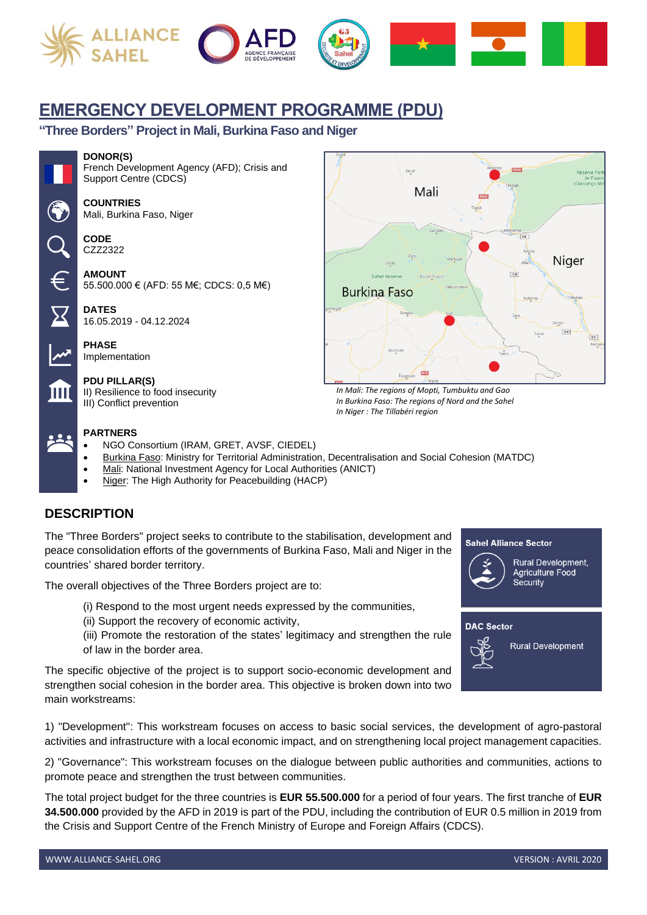





# **EMERGENCY DEVELOPMENT PROGRAMME (PDU)**

**"Three Borders" Project in Mali, Burkina Faso and Niger**

### **DONOR(S)**



French Development Agency (AFD); Crisis and Support Centre (CDCS)

**COUNTRIES** Mali, Burkina Faso, Niger

**CODE** CZZ2322

**AMOUNT** 55.500.000 € (AFD: 55 M€; CDCS: 0,5 M€)

**DATES** 16.05.2019 - 04.12.2024

**PHASE** Implementation

**PDU PILLAR(S)** II) Resilience to food insecurity

III) Conflict prevention

## **PARTNERS**

- NGO Consortium (IRAM, GRET, AVSF, CIEDEL)
- Burkina Faso: Ministry for Territorial Administration, Decentralisation and Social Cohesion (MATDC)
- Mali: National Investment Agency for Local Authorities (ANICT)
- Niger: The High Authority for Peacebuilding (HACP)

## **DESCRIPTION**

The "Three Borders" project seeks to contribute to the stabilisation, development and peace consolidation efforts of the governments of Burkina Faso, Mali and Niger in the countries' shared border territory.

The overall objectives of the Three Borders project are to:

- (i) Respond to the most urgent needs expressed by the communities,
- (ii) Support the recovery of economic activity,
- (iii) Promote the restoration of the states' legitimacy and strengthen the rule of law in the border area.

The specific objective of the project is to support socio-economic development and strengthen social cohesion in the border area. This objective is broken down into two main workstreams:

1) "Development": This workstream focuses on access to basic social services, the development of agro-pastoral activities and infrastructure with a local economic impact, and on strengthening local project management capacities.

2) "Governance": This workstream focuses on the dialogue between public authorities and communities, actions to promote peace and strengthen the trust between communities.

The total project budget for the three countries is **EUR 55.500.000** for a period of four years. The first tranche of **EUR 34.500.000** provided by the AFD in 2019 is part of the PDU, including the contribution of EUR 0.5 million in 2019 from the Crisis and Support Centre of the French Ministry of Europe and Foreign Affairs (CDCS).



*In Mali: The regions of Mopti, Tumbuktu and Gao In Burkina Faso: The regions of Nord and the Sahel In Niger : The Tillabéri region*



**Sahel Alliance Sector** 

Rural Development, Agriculture Food Security

**DAC Sector** 

**Rural Development**